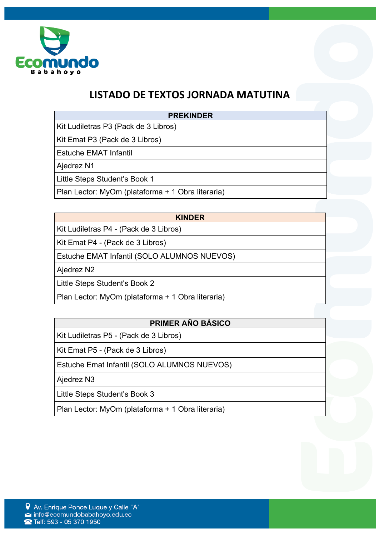

## **LISTADO DE TEXTOS JORNADA MATUTINA**

#### **PREKINDER**

Kit Ludiletras P3 (Pack de 3 Libros)

Kit Emat P3 (Pack de 3 Libros)

Estuche EMAT Infantil

Ajedrez N1

Little Steps Student's Book 1

Plan Lector: MyOm (plataforma + 1 Obra literaria)

#### **KINDER**

Kit Ludiletras P4 - (Pack de 3 Libros)

Kit Emat P4 - (Pack de 3 Libros)

Estuche EMAT Infantil (SOLO ALUMNOS NUEVOS)

Ajedrez N2

Little Steps Student's Book 2

Plan Lector: MyOm (plataforma + 1 Obra literaria)

## **PRIMER AÑO BÁSICO**

Kit Ludiletras P5 - (Pack de 3 Libros)

Kit Emat P5 - (Pack de 3 Libros)

Estuche Emat Infantil (SOLO ALUMNOS NUEVOS)

Ajedrez N3

Little Steps Student's Book 3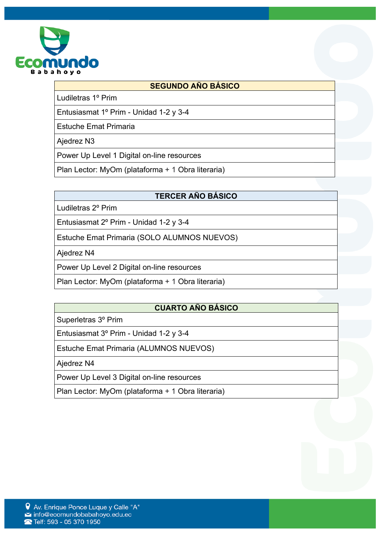

#### **SEGUNDO AÑO BÁSICO**

Ludiletras 1º Prim

Entusiasmat 1º Prim - Unidad 1-2 y 3-4

Estuche Emat Primaria

Ajedrez N3

Power Up Level 1 Digital on-line resources

Plan Lector: MyOm (plataforma + 1 Obra literaria)

#### **TERCER AÑO BÁSICO**

Ludiletras 2º Prim

Entusiasmat 2º Prim - Unidad 1-2 y 3-4

Estuche Emat Primaria (SOLO ALUMNOS NUEVOS)

Ajedrez N4

Power Up Level 2 Digital on-line resources

Plan Lector: MyOm (plataforma + 1 Obra literaria)

#### **CUARTO AÑO BÁSICO**

Superletras 3º Prim

Entusiasmat 3º Prim - Unidad 1-2 y 3-4

Estuche Emat Primaria (ALUMNOS NUEVOS)

Ajedrez N4

Power Up Level 3 Digital on-line resources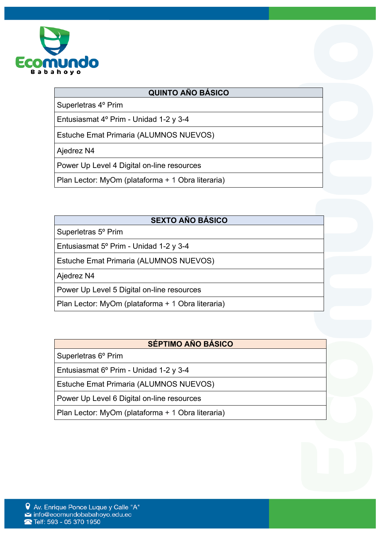

#### **QUINTO AÑO BÁSICO**

Superletras 4º Prim

Entusiasmat 4º Prim - Unidad 1-2 y 3-4

Estuche Emat Primaria (ALUMNOS NUEVOS)

Ajedrez N4

Power Up Level 4 Digital on-line resources

Plan Lector: MyOm (plataforma + 1 Obra literaria)

## **SEXTO AÑO BÁSICO**

Superletras 5º Prim

Entusiasmat 5º Prim - Unidad 1-2 y 3-4

Estuche Emat Primaria (ALUMNOS NUEVOS)

Ajedrez N4

Power Up Level 5 Digital on-line resources

Plan Lector: MyOm (plataforma + 1 Obra literaria)

## **SÉPTIMO AÑO BÁSICO**

Superletras 6º Prim

Entusiasmat 6º Prim - Unidad 1-2 y 3-4

Estuche Emat Primaria (ALUMNOS NUEVOS)

Power Up Level 6 Digital on-line resources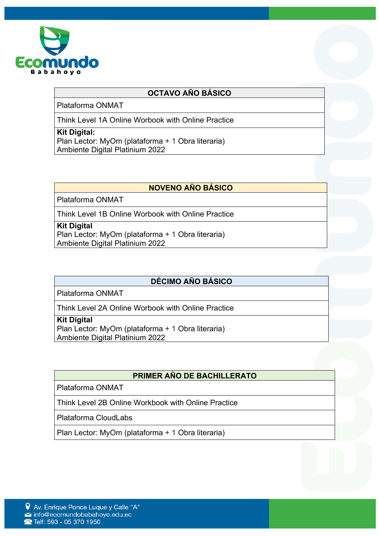

#### **OCTAVO AÑO BÁSICO**

Plataforma ONMAT

Think Level 1A Online Worbook with Online Practice

#### **Kit Digital:**

Plan Lector: MyOm (plataforma + 1 Obra literaria) Ambiente Digital Platinium 2022

## **NOVENO AÑO BÁSICO**

Plataforma ONMAT

Think Level 1B Online Worbook with Online Practice

#### **Kit Digital**

Plan Lector: MyOm (plataforma + 1 Obra literaria) Ambiente Digital Platinium 2022

## **DÉCIMO AÑO BÁSICO**

Plataforma ONMAT

Think Level 2A Online Worbook with Online Practice

#### **Kit Digital**

Plan Lector: MyOm (plataforma + 1 Obra literaria) Ambiente Digital Platinium 2022

## **PRIMER AÑO DE BACHILLERATO**

Plataforma ONMAT

Think Level 2B Online Workbook with Online Practice

Plataforma CloudLabs